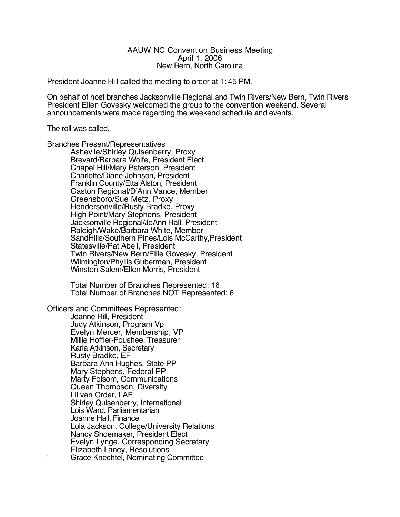# AAUW NC Convention Business Meeting April 1, 2006 New Bern, North Carolina

President Joanne Hill called the meeting to order at 1: 45 PM.

On behalf of host branches Jacksonville Regional and Twin Rivers/New Bern, Twin Rivers President Ellen Govesky welcomed the group to the convention weekend. Several announcements were made regarding the weekend schedule and events.

The roll was called.

Branches Present/Representatives

Ashevile/Shirley Quisenberry, Proxy Brevard/Barbara Wolfe, President Elect Chapel Hill/Mary Paterson, President Charlotte/Diane Johnson, President Franklin County/Etta Alston, President Gaston Regional/D'Ann Vance, Member Greensboro/Sue Metz, Proxy Hendersonville/Rusty Bradke, Proxy High Point/Mary Stephens, President Jacksonville Regional/JoAnn Hall, President Raleigh/Wake/Barbara White, Member SandHills/Southern Pines/Lois McCarthy,President Statesville/Pat Abell, President Twin Rivers/New Bern/Ellie Govesky, President Wilmington/Phyllis Guberman, President Winston Salem/Ellen Morris, President

Total Number of Branches Represented: 16 Total Number of Branches NOT Represented: 6

Officers and Committees Represented:

Joanne Hill, President Judy Atkinson, Program Vp Evelyn Mercer, Membership; VP Millie Hoffler-Foushee, Treasurer Karla Atkinson, Secretary Rusty Bradke, EF Barbara Ann Hughes, State PP Mary Stephens, Federal PP Marty Folsom, Communications Queen Thompson, Diversity Lil van Order, LAF Shirley Quisenberry, International Lois Ward, Parliamentarian Joanne Hall, Finance Lola Jackson, College/University Relations Nancy Shoemaker, President Elect Evelyn Lynge, Corresponding Secretary Elizabeth Laney, Resolutions Grace Knechtel, Nominating Committee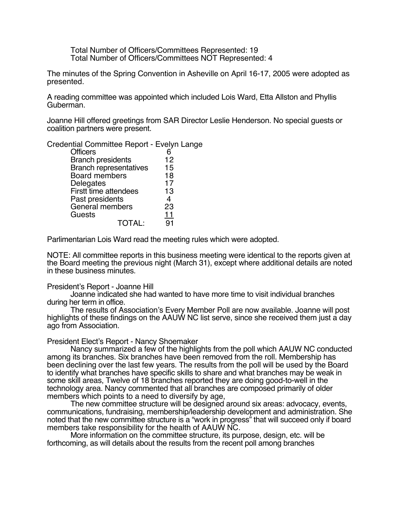Total Number of Officers/Committees Represented: 19 Total Number of Officers/Committees NOT Represented: 4

The minutes of the Spring Convention in Asheville on April 16-17, 2005 were adopted as presented.

A reading committee was appointed which included Lois Ward, Etta Allston and Phyllis Guberman.

Joanne Hill offered greetings from SAR Director Leslie Henderson. No special guests or coalition partners were present.

Credential Committee Report - Evelyn Lange

| <b>Officers</b>               | 6              |
|-------------------------------|----------------|
| <b>Branch presidents</b>      | 12             |
| <b>Branch representatives</b> | 15             |
| <b>Board members</b>          | 18             |
| Delegates                     | 17             |
| Firstt time attendees         | 13             |
| Past presidents               | $\overline{4}$ |
| General members               | 23             |
| Guests                        | <u> 11</u>     |
| <b>TOTAL:</b>                 | 91             |
|                               |                |

Parlimentarian Lois Ward read the meeting rules which were adopted.

NOTE: All committee reports in this business meeting were identical to the reports given at the Board meeting the previous night (March 31), except where additional details are noted in these business minutes.

# President's Report - Joanne Hill

Joanne indicated she had wanted to have more time to visit individual branches during her term in office.

The results of Association's Every Member Poll are now available. Joanne will post highlights of these findings on the AAUW NC list serve, since she received them just a day ago from Association.

President Elect's Report - Nancy Shoemaker

Nancy summarized a few of the highlights from the poll which AAUW NC conducted among its branches. Six branches have been removed from the roll. Membership has been declining over the last few years. The results from the poll will be used by the Board to identify what branches have specific skills to share and what branches may be weak in some skill areas, Twelve of 18 branches reported they are doing good-to-well in the technology area. Nancy commented that all branches are composed primarily of older members which points to a need to diversify by age,

The new committee structure will be designed around six areas: advocacy, events, communications, fundraising, membership/leadership development and administration. She noted that the new committee structure is a "work in progress" that will succeed only if board members take responsibility for the health of AAUW NC.

More information on the committee structure, its purpose, design, etc. will be forthcoming, as will details about the results from the recent poll among branches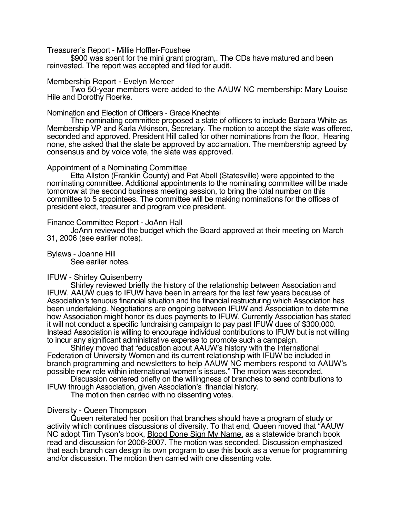Treasurer's Report - Millie Hoffler-Foushee

\$900 was spent for the mini grant program,. The CDs have matured and been reinvested. The report was accepted and filed for audit.

#### Membership Report - Evelyn Mercer

Two 50-year members were added to the AAUW NC membership: Mary Louise Hile and Dorothy Roerke.

### Nomination and Election of Officers - Grace Knechtel

The nominating committee proposed a slate of officers to include Barbara White as Membership VP and Karla Atkinson, Secretary. The motion to accept the slate was offered, seconded and approved. President Hill called for other nominations from the floor, Hearing none, she asked that the slate be approved by acclamation. The membership agreed by consensus and by voice vote, the slate was approved.

#### Appointment of a Nominating Committee

Etta Allston (Franklin County) and Pat Abell (Statesville) were appointed to the nominating committee. Additional appointments to the nominating committee will be made tomorrow at the second business meeting session, to bring the total number on this committee to 5 appointees. The committee will be making nominations for the offices of president elect, treasurer and program vice president.

#### Finance Committee Report - JoAnn Hall

JoAnn reviewed the budget which the Board approved at their meeting on March 31, 2006 (see earlier notes).

Bylaws - Joanne Hill See earlier notes.

# IFUW - Shirley Quisenberry

Shirley reviewed briefly the history of the relationship between Association and IFUW. AAUW dues to IFUW have been in arrears for the last few years because of Association's tenuous financial situation and the financial restructuring which Association has been undertaking. Negotiations are ongoing between IFUW and Association to determine how Association might honor its dues payments to IFUW. Currently Association has stated it will not conduct a specific fundraising campaign to pay past IFUW dues of \$300,000. Instead Association is willing to encourage individual contributions to IFUW but is not willing to incur any significant administrative expense to promote such a campaign.

Shirley moved that "education about AAUW's history with the International Federation of University Women and its current relationship with IFUW be included in branch programming and newsletters to help AAUW NC members respond to AAUW's possible new role within international women's issues." The motion was seconded.

Discussion centered briefly on the willingness of branches to send contributions to IFUW through Association, given Association's financial history.

The motion then carried with no dissenting votes.

# Diversity - Queen Thompson

Queen reiterated her position that branches should have a program of study or activity which continues discussions of diversity. To that end, Queen moved that "AAUW NC adopt Tim Tyson's book, Blood Done Sign My Name, as a statewide branch book read and discussion for 2006-2007. The motion was seconded. Discussion emphasized that each branch can design its own program to use this book as a venue for programming and/or discussion. The motion then carried with one dissenting vote.